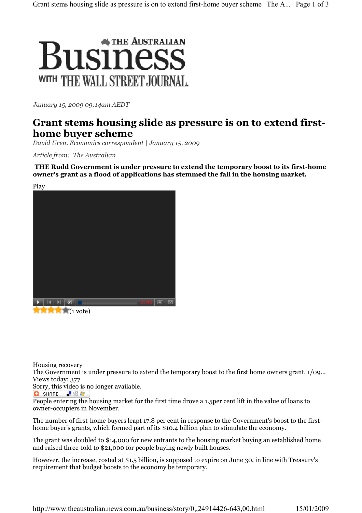

January 15, 2009 09:14am AEDT

## Grant stems housing slide as pressure is on to extend firsthome buyer scheme

David Uren, Economics correspondent | January 15, 2009

Article from: The Australian

THE Rudd Government is under pressure to extend the temporary boost to its first-home owner's grant as a flood of applications has stemmed the fall in the housing market.



Housing recovery

The Government is under pressure to extend the temporary boost to the first home owners grant. 1/09... Views today: 377

Sorry, this video is no longer available.

**O** SHARE  $\blacksquare$   $\Omega$   $\blacksquare$ 

People entering the housing market for the first time drove a 1.5per cent lift in the value of loans to owner-occupiers in November.

The number of first-home buyers leapt 17.8 per cent in response to the Government's boost to the firsthome buyer's grants, which formed part of its \$10.4 billion plan to stimulate the economy.

The grant was doubled to \$14,000 for new entrants to the housing market buying an established home and raised three-fold to \$21,000 for people buying newly built houses.

However, the increase, costed at \$1.5 billion, is supposed to expire on June 30, in line with Treasury's requirement that budget boosts to the economy be temporary.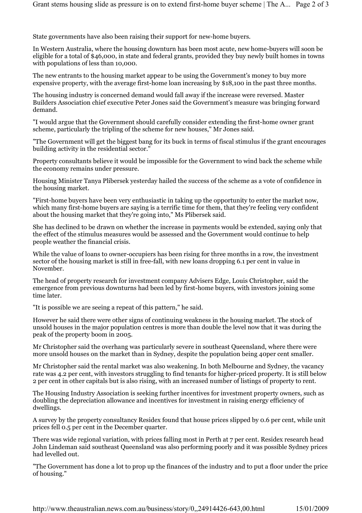State governments have also been raising their support for new-home buyers.

In Western Australia, where the housing downturn has been most acute, new home-buyers will soon be eligible for a total of \$46,000, in state and federal grants, provided they buy newly built homes in towns with populations of less than 10,000.

The new entrants to the housing market appear to be using the Government's money to buy more expensive property, with the average first-home loan increasing by \$18,100 in the past three months.

The housing industry is concerned demand would fall away if the increase were reversed. Master Builders Association chief executive Peter Jones said the Government's measure was bringing forward demand.

"I would argue that the Government should carefully consider extending the first-home owner grant scheme, particularly the tripling of the scheme for new houses," Mr Jones said.

"The Government will get the biggest bang for its buck in terms of fiscal stimulus if the grant encourages building activity in the residential sector."

Property consultants believe it would be impossible for the Government to wind back the scheme while the economy remains under pressure.

Housing Minister Tanya Plibersek yesterday hailed the success of the scheme as a vote of confidence in the housing market.

"First-home buyers have been very enthusiastic in taking up the opportunity to enter the market now, which many first-home buyers are saying is a terrific time for them, that they're feeling very confident about the housing market that they're going into," Ms Plibersek said.

She has declined to be drawn on whether the increase in payments would be extended, saying only that the effect of the stimulus measures would be assessed and the Government would continue to help people weather the financial crisis.

While the value of loans to owner-occupiers has been rising for three months in a row, the investment sector of the housing market is still in free-fall, with new loans dropping 6.1 per cent in value in November.

The head of property research for investment company Advisers Edge, Louis Christopher, said the emergence from previous downturns had been led by first-home buyers, with investors joining some time later.

"It is possible we are seeing a repeat of this pattern," he said.

However he said there were other signs of continuing weakness in the housing market. The stock of unsold houses in the major population centres is more than double the level now that it was during the peak of the property boom in 2005.

Mr Christopher said the overhang was particularly severe in southeast Queensland, where there were more unsold houses on the market than in Sydney, despite the population being 40per cent smaller.

Mr Christopher said the rental market was also weakening. In both Melbourne and Sydney, the vacancy rate was 4.2 per cent, with investors struggling to find tenants for higher-priced property. It is still below 2 per cent in other capitals but is also rising, with an increased number of listings of property to rent.

The Housing Industry Association is seeking further incentives for investment property owners, such as doubling the depreciation allowance and incentives for investment in raising energy efficiency of dwellings.

A survey by the property consultancy Residex found that house prices slipped by 0.6 per cent, while unit prices fell 0.5 per cent in the December quarter.

There was wide regional variation, with prices falling most in Perth at 7 per cent. Residex research head John Lindeman said southeast Queensland was also performing poorly and it was possible Sydney prices had levelled out.

"The Government has done a lot to prop up the finances of the industry and to put a floor under the price of housing."

http://www.theaustralian.news.com.au/business/story/0,,24914426-643,00.html 15/01/2009